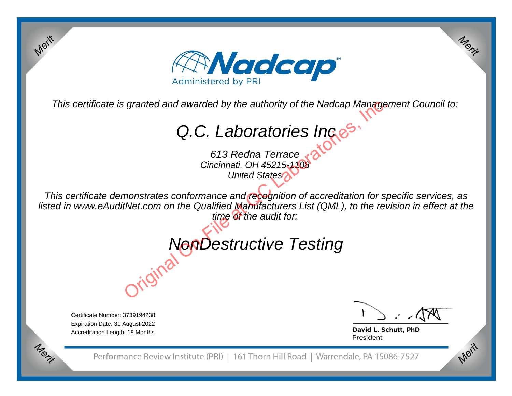

This certificate is granted and awarded by the authority of the Nadcap Management Council to:

Q.C. Laboratories Ince<sup>s</sup>

613 Redna Terrace Cincinnati, OH 45215-1108United States<sup>2</sup>

This certificate demonstrates conformance and recognition of accreditation for specific services, as listed in www.eAuditNet.com on the Qualified Manufacturers List (QML), to the revision in effect at the time of the audit for: granted and awarded by the authority of the Nadcap Manage  $Q.C.$  Laboratories  $\bigcap_{\text{Cincinnati, OH45215,10B}}$  613 Redna Terrace  $\bigotimes_{\text{United States}}$  Cincinnati, OH 45215,108<br>monstrates conformance and receptition of accreditation for

## NonDestructive Testing

Certificate Number: 3739194238 Expiration Date: 31 August 2022Accreditation Length: 18 Months

Merit

Merit

Merit

David L. Schutt, PhD President

Performance Review Institute (PRI) | 161 Thorn Hill Road | Warrendale, PA 15086-7527